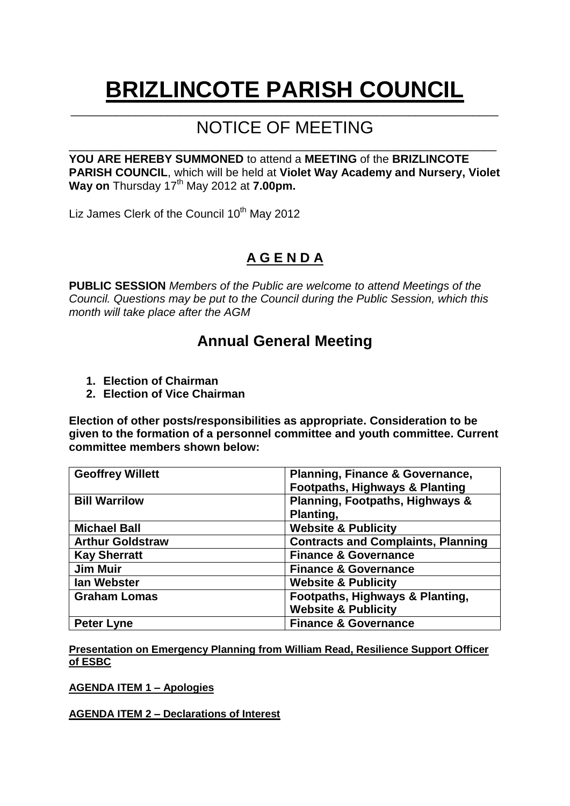# **BRIZLINCOTE PARISH COUNCIL** \_\_\_\_\_\_\_\_\_\_\_\_\_\_\_\_\_\_\_\_\_\_\_\_\_\_\_\_\_\_\_\_\_\_\_\_\_\_\_\_\_\_\_\_\_\_\_\_\_\_\_\_\_\_\_\_\_\_\_\_\_\_\_\_\_\_\_

# NOTICE OF MEETING

\_\_\_\_\_\_\_\_\_\_\_\_\_\_\_\_\_\_\_\_\_\_\_\_\_\_\_\_\_\_\_\_\_\_\_\_\_\_\_\_\_\_\_\_\_\_\_\_\_\_\_\_\_\_\_\_\_\_\_\_\_\_\_\_\_\_\_

**YOU ARE HEREBY SUMMONED** to attend a **MEETING** of the **BRIZLINCOTE PARISH COUNCIL**, which will be held at **Violet Way Academy and Nursery, Violet**  Way on Thursday 17<sup>th</sup> May 2012 at 7.00pm.

Liz James Clerk of the Council 10<sup>th</sup> May 2012

# **A G E N D A**

**PUBLIC SESSION** *Members of the Public are welcome to attend Meetings of the Council. Questions may be put to the Council during the Public Session, which this month will take place after the AGM*

# **Annual General Meeting**

- **1. Election of Chairman**
- **2. Election of Vice Chairman**

**Election of other posts/responsibilities as appropriate. Consideration to be given to the formation of a personnel committee and youth committee. Current committee members shown below:**

| <b>Geoffrey Willett</b> | <b>Planning, Finance &amp; Governance,</b> |  |  |
|-------------------------|--------------------------------------------|--|--|
|                         | <b>Footpaths, Highways &amp; Planting</b>  |  |  |
| <b>Bill Warrilow</b>    | Planning, Footpaths, Highways &            |  |  |
|                         | Planting,                                  |  |  |
| <b>Michael Ball</b>     | <b>Website &amp; Publicity</b>             |  |  |
| <b>Arthur Goldstraw</b> | <b>Contracts and Complaints, Planning</b>  |  |  |
| <b>Kay Sherratt</b>     | <b>Finance &amp; Governance</b>            |  |  |
| <b>Jim Muir</b>         | <b>Finance &amp; Governance</b>            |  |  |
| lan Webster             | <b>Website &amp; Publicity</b>             |  |  |
| <b>Graham Lomas</b>     | Footpaths, Highways & Planting,            |  |  |
|                         | <b>Website &amp; Publicity</b>             |  |  |
| <b>Peter Lyne</b>       | <b>Finance &amp; Governance</b>            |  |  |

**Presentation on Emergency Planning from William Read, Resilience Support Officer of ESBC**

**AGENDA ITEM 1 – Apologies**

**AGENDA ITEM 2 – Declarations of Interest**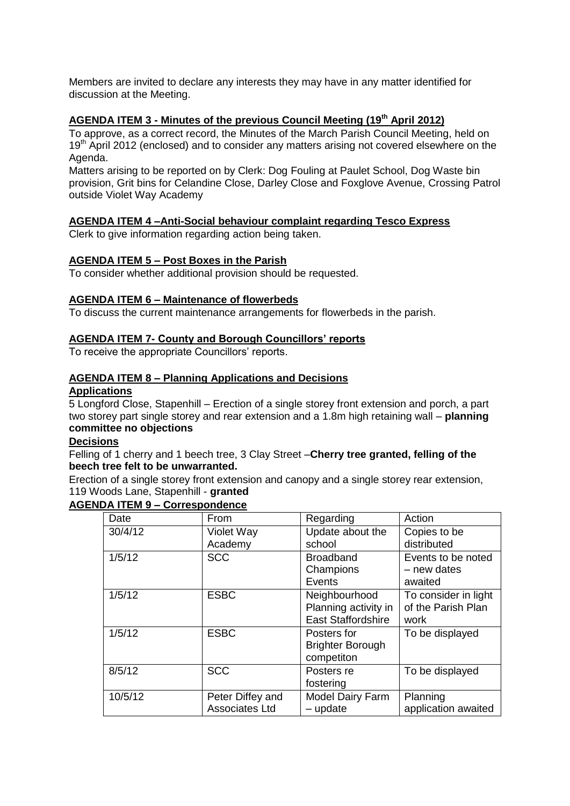Members are invited to declare any interests they may have in any matter identified for discussion at the Meeting.

## **AGENDA ITEM 3 - Minutes of the previous Council Meeting (19 th April 2012)**

To approve, as a correct record, the Minutes of the March Parish Council Meeting, held on 19<sup>th</sup> April 2012 (enclosed) and to consider any matters arising not covered elsewhere on the Agenda.

Matters arising to be reported on by Clerk: Dog Fouling at Paulet School, Dog Waste bin provision, Grit bins for Celandine Close, Darley Close and Foxglove Avenue, Crossing Patrol outside Violet Way Academy

## **AGENDA ITEM 4 –Anti-Social behaviour complaint regarding Tesco Express**

Clerk to give information regarding action being taken.

## **AGENDA ITEM 5 – Post Boxes in the Parish**

To consider whether additional provision should be requested.

#### **AGENDA ITEM 6 – Maintenance of flowerbeds**

To discuss the current maintenance arrangements for flowerbeds in the parish.

## **AGENDA ITEM 7- County and Borough Councillors' reports**

To receive the appropriate Councillors' reports.

#### **AGENDA ITEM 8 – Planning Applications and Decisions**

#### **Applications**

5 Longford Close, Stapenhill – Erection of a single storey front extension and porch, a part two storey part single storey and rear extension and a 1.8m high retaining wall – **planning committee no objections**

### **Decisions**

Felling of 1 cherry and 1 beech tree, 3 Clay Street –**Cherry tree granted, felling of the beech tree felt to be unwarranted.**

Erection of a single storey front extension and canopy and a single storey rear extension, 119 Woods Lane, Stapenhill - **granted**

#### **AGENDA ITEM 9 – Correspondence**

| Date    | From                                      | Regarding                                                          | Action                                             |  |
|---------|-------------------------------------------|--------------------------------------------------------------------|----------------------------------------------------|--|
| 30/4/12 | Violet Way<br>Academy                     | Update about the<br>school                                         | Copies to be<br>distributed                        |  |
| 1/5/12  | <b>SCC</b>                                | <b>Broadband</b><br>Champions<br>Events                            | Events to be noted<br>- new dates<br>awaited       |  |
| 1/5/12  | <b>ESBC</b>                               | Neighbourhood<br>Planning activity in<br><b>East Staffordshire</b> | To consider in light<br>of the Parish Plan<br>work |  |
| 1/5/12  | <b>ESBC</b>                               | Posters for<br><b>Brighter Borough</b><br>competiton               | To be displayed                                    |  |
| 8/5/12  | <b>SCC</b>                                | Posters re<br>fostering                                            | To be displayed                                    |  |
| 10/5/12 | Peter Diffey and<br><b>Associates Ltd</b> | <b>Model Dairy Farm</b><br>- update                                | Planning<br>application awaited                    |  |